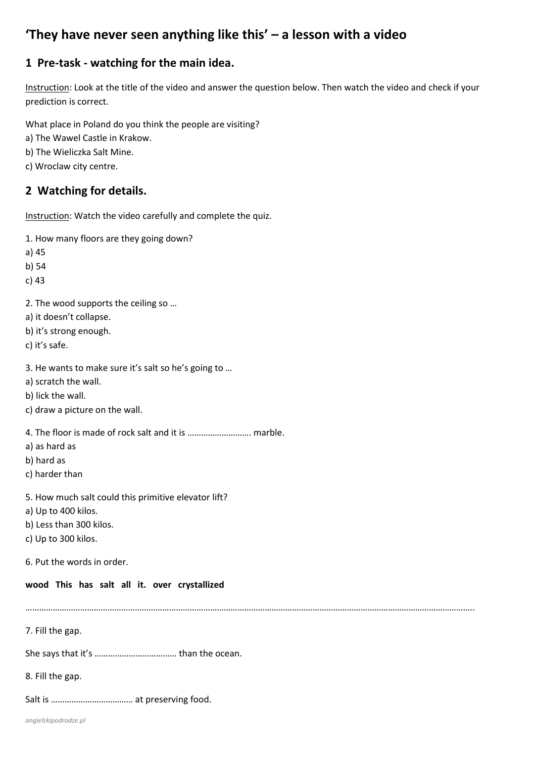# **'They have never seen anything like this' – a lesson with a video**

## **1 Pre-task - watching for the main idea.**

Instruction: Look at the title of the video and answer the question below. Then watch the video and check if your prediction is correct.

What place in Poland do you think the people are visiting?

- a) The Wawel Castle in Krakow.
- b) The Wieliczka Salt Mine.
- c) Wroclaw city centre.

### **2 Watching for details.**

Instruction: Watch the video carefully and complete the quiz.

- 1. How many floors are they going down?
- a) 45
- b) 54
- c) 43
- 2. The wood supports the ceiling so …
- a) it doesn't collapse.
- b) it's strong enough.
- c) it's safe.
- 3. He wants to make sure it's salt so he's going to …
- a) scratch the wall.
- b) lick the wall.
- c) draw a picture on the wall.
- 4. The floor is made of rock salt and it is ………………………. marble.
- a) as hard as
- b) hard as
- c) harder than
- 5. How much salt could this primitive elevator lift?
- a) Up to 400 kilos.
- b) Less than 300 kilos.
- c) Up to 300 kilos.
- 6. Put the words in order.

#### **wood This has salt all it. over crystallized**

……………………………………………………………………………………………………………………………………………………………………………..

7. Fill the gap.

She says that it's ……………………………… than the ocean.

- 8. Fill the gap.
- Salt is ……………………………… at preserving food.